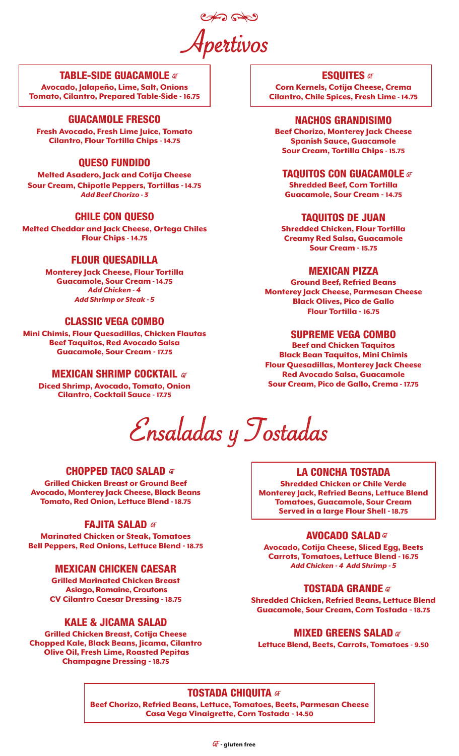Apertivos

## TABLE-SIDE GUACAMOLE

Avocado, Jalapeño, Lime, Salt, Onions Tomato, Cilantro, Prepared Table-Side - 16.75

# GUACAMOLE FRESCO

Fresh Avocado, Fresh Lime Juice, Tomato Cilantro, Flour Tortilla Chips - 14.75

# QUESO FUNDIDO

Melted Asadero, Jack and Cotija Cheese Sour Cream, Chipotle Peppers, Tortillas *-*14.75 *Add Beef Chorizo - 3*

# CHILE CON QUESO

Melted Cheddar and Jack Cheese, Ortega Chiles Flour Chips - 14.75

# FLOUR QUESADILLA

Monterey Jack Cheese, Flour Tortilla Guacamole, Sour Cream *-* 14.75 *Add Chicken - 4 Add Shrimp or Steak - 5*

# CLASSIC VEGA COMBO

Mini Chimis, Flour Quesadillas, Chicken Flautas Beef Taquitos, Red Avocado Salsa Guacamole, Sour Cream - 17.75

# **MEXICAN SHRIMP COCKTAIL ar**

Diced Shrimp, Avocado, Tomato, Onion Cilantro, Cocktail Sauce - 17.75

Ensaladas y Tostadas

## **CHOPPED TACO SALAD 47**

Grilled Chicken Breast or Ground Beef Avocado, Monterey Jack Cheese, Black Beans Tomato, Red Onion, Lettuce Blend - 18.75

## FAJITA SALAD **GF**

Marinated Chicken or Steak, Tomatoes Bell Peppers, Red Onions, Lettuce Blend - 18.75

# MEXICAN CHICKEN CAESAR

Grilled Marinated Chicken Breast Asiago, Romaine, Croutons CV Cilantro Caesar Dressing - 18.75

# KALE & JICAMA SALAD

Grilled Chicken Breast, Cotija Cheese Chopped Kale, Black Beans, Jicama, Cilantro Olive Oil, Fresh Lime, Roasted Pepitas Champagne Dressing - 18.75

**ESQUITES af** 

Corn Kernels, Cotija Cheese, Crema Cilantro, Chile Spices, Fresh Lime - 14.75

#### NACHOS GRANDISIMO

Beef Chorizo, Monterey Jack Cheese Spanish Sauce, Guacamole Sour Cream, Tortilla Chips - 15.75

## **TAQUITOS CON GUACAMOLE**  $\sigma$

Shredded Beef, Corn Tortilla Guacamole, Sour Cream - 14.75

#### TAQUITOS DE JUAN

Shredded Chicken, Flour Tortilla Creamy Red Salsa, Guacamole Sour Cream - 15.75

# MEXICAN PIZZA

Ground Beef, Refried Beans Monterey Jack Cheese, Parmesan Cheese Black Olives, Pico de Gallo Flour Tortilla - 16.75

# SUPREME VEGA COMBO

Beef and Chicken Taquitos Black Bean Taquitos, Mini Chimis Flour Quesadillas, Monterey Jack Cheese Red Avocado Salsa, Guacamole Sour Cream, Pico de Gallo, Crema - 17.75

# LA CONCHA TOSTADA

Shredded Chicken or Chile Verde Monterey Jack, Refried Beans, Lettuce Blend Tomatoes, Guacamole, Sour Cream Served in a large Flour Shell *-* 18.75

## **AVOCADO SALAD af**

Avocado, Cotija Cheese, Sliced Egg, Beets Carrots, Tomatoes, Lettuce Blend - 16.75 *Add Chicken - 4 Add Shrimp - 5*

## **TOSTADA GRANDE** at

Shredded Chicken, Refried Beans, Lettuce Blend Guacamole, Sour Cream, Corn Tostada - 18.75

## **MIXED GREENS SALAD** af

Lettuce Blend, Beets, Carrots, Tomatoes - 9.50

# **TOSTADA CHIQUITA 4F**

Beef Chorizo, Refried Beans, Lettuce, Tomatoes, Beets, Parmesan Cheese Casa Vega Vinaigrette, Corn Tostada - 14.50

 $GF$  aluten free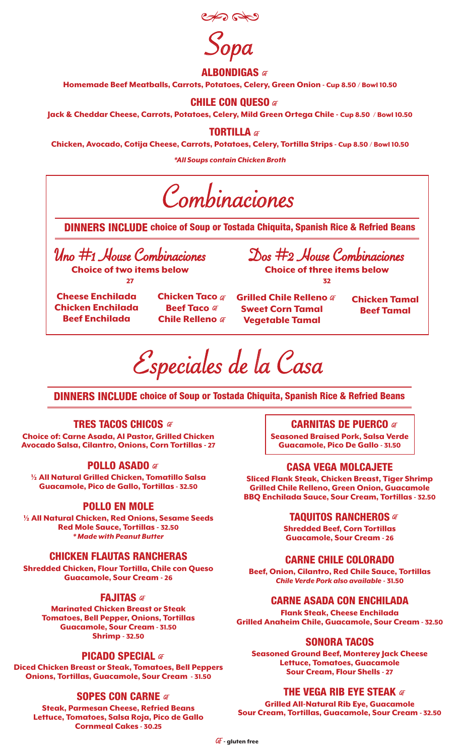

Sopa

#### **ALBONDIGAS** GF

Homemade Beef Meatballs, Carrots, Potatoes, Celery, Green Onion - Cup 8.50 / Bowl 10.50

#### **CHILE CON QUESO GF**

Jack & Cheddar Cheese, Carrots, Potatoes, Celery, Mild Green Ortega Chile - Cup 8.50 / Bowl 10.50

**TORTILLA af** 

Chicken, Avocado, Cotija Cheese, Carrots, Potatoes, Celery, Tortilla Strips - Cup 8.50 / Bowl 10.50

*\*All Soups contain Chicken Broth*

Combinaciones

DINNERS INCLUDE choice of Soup or Tostada Chiquita, Spanish Rice & Refried Beans

Uno #1 House Combinaciones Choice of two items below 27

Cheese Enchilada Chicken Enchilada Beef Enchilada

**Chicken Taco** GF **Beef Taco** FF **Chile Relleno** FF

Grilled Chile Relleno # Sweet Corn Tamal Vegetable Tamal

Chicken Tamal Beef Tamal

Especiales de la Casa

DINNERS INCLUDE choice of Soup or Tostada Chiquita, Spanish Rice & Refried Beans

## **TRES TACOS CHICOS 47**

Choice of: Carne Asada, Al Pastor, Grilled Chicken Avocado Salsa, Cilantro, Onions, Corn Tortillas - 27

## **POLLO ASADO** GF

½ All Natural Grilled Chicken, Tomatillo Salsa Guacamole, Pico de Gallo, Tortillas - 32.50

## POLLO EN MOLE

½ All Natural Chicken, Red Onions, Sesame Seeds Red Mole Sauce, Tortillas - 32.50 *\* Made with Peanut Butter*

## CHICKEN FLAUTAS RANCHERAS

Shredded Chicken, Flour Tortilla, Chile con Queso Guacamole, Sour Cream - 26

#### **FAJITAS** GF

Marinated Chicken Breast or Steak Tomatoes, Bell Pepper, Onions, Tortillas Guacamole, Sour Cream - 31.50 Shrimp - 32.50

## PICADO SPECIAL **af**

Diced Chicken Breast or Steak, Tomatoes, Bell Peppers Onions, Tortillas, Guacamole, Sour Cream - 31.50

## **SOPES CON CARNE GF**

Steak, Parmesan Cheese, Refried Beans Lettuce, Tomatoes, Salsa Roja, Pico de Gallo Cornmeal Cakes - 30.25

## **CARNITAS DE PUERCO 47**

Dos #2 House Combinaciones Choice of three items below 32

> Seasoned Braised Pork, Salsa Verde Guacamole, Pico De Gallo - 31.50

## CASA VEGA MOLCAJETE

Sliced Flank Steak, Chicken Breast, Tiger Shrimp Grilled Chile Relleno, Green Onion, Guacamole BBQ Enchilada Sauce, Sour Cream, Tortillas - 32.50

#### **TAQUITOS RANCHEROS af**

Shredded Beef, Corn Tortillas Guacamole, Sour Cream - 26

## CARNE CHILE COLORADO

Beef, Onion, Cilantro, Red Chile Sauce, Tortillas *Chile Verde Pork also available* - 31.50

## CARNE ASADA CON ENCHILADA

Flank Steak, Cheese Enchilada Grilled Anaheim Chile, Guacamole, Sour Cream - 32.50

#### SONORA TACOS

Seasoned Ground Beef, Monterey Jack Cheese Lettuce, Tomatoes, Guacamole Sour Cream, Flour Shells - 27

# THE VEGA RIB EYE STEAK  $G$

Grilled All-Natural Rib Eye, Guacamole Sour Cream, Tortillas, Guacamole, Sour Cream - 32.50

GF - gluten free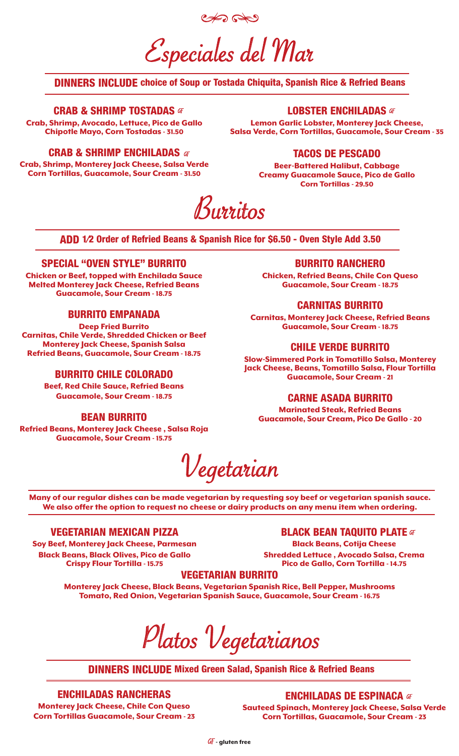Especiales del Mar

# DINNERS INCLUDE choice of Soup or Tostada Chiquita, Spanish Rice & Refried Beans

#### CRAB & SHRIMP TOSTADAS AT

Crab, Shrimp, Avocado, Lettuce, Pico de Gallo Chipotle Mayo, Corn Tostadas - 31.50

#### LOBSTER ENCHILADAS GF

Lemon Garlic Lobster, Monterey Jack Cheese, Salsa Verde, Corn Tortillas, Guacamole, Sour Cream - 35

#### CRAB & SHRIMP ENCHILADAS  $\sigma$

Crab, Shrimp, Monterey Jack Cheese, Salsa Verde Corn Tortillas, Guacamole, Sour Cream - 31.50

#### TACOS DE PESCADO

Beer-Battered Halibut, Cabbage Creamy Guacamole Sauce, Pico de Gallo Corn Tortillas - 29.50

Burritos

ADD 1⁄2 Order of Refried Beans & Spanish Rice for \$6.50 - Oven Style Add 3.50

#### SPECIAL "OVEN STYLE" BURRITO

Chicken or Beef, topped with Enchilada Sauce Melted Monterey Jack Cheese, Refried Beans Guacamole, Sour Cream - 18.75

#### BURRITO EMPANADA

Deep Fried Burrito Carnitas, Chile Verde, Shredded Chicken or Beef Monterey Jack Cheese, Spanish Salsa Refried Beans, Guacamole, Sour Cream - 18.75

## BURRITO CHILE COLORADO

Beef, Red Chile Sauce, Refried Beans Guacamole, Sour Cream - 18.75

#### BEAN BURRITO

Refried Beans, Monterey Jack Cheese , Salsa Roja Guacamole, Sour Cream - 15.75

#### BURRITO RANCHERO

Chicken, Refried Beans, Chile Con Queso Guacamole, Sour Cream - 18.75

#### CARNITAS BURRITO

Carnitas, Monterey Jack Cheese, Refried Beans Guacamole, Sour Cream - 18.75

## CHILE VERDE BURRITO

Slow-Simmered Pork in Tomatillo Salsa, Monterey Jack Cheese, Beans, Tomatillo Salsa, Flour Tortilla Guacamole, Sour Cream - 21

#### CARNE ASADA BURRITO

Marinated Steak, Refried Beans Guacamole, Sour Cream, Pico De Gallo - 20

Vegetarian

Many of our regular dishes can be made vegetarian by requesting soy beef or vegetarian spanish sauce. We also offer the option to request no cheese or dairy products on any menu item when ordering.

# VEGETARIAN MEXICAN PIZZA

Soy Beef, Monterey Jack Cheese, Parmesan Black Beans, Black Olives, Pico de Gallo Crispy Flour Tortilla - 15.75

#### **BLACK BEAN TAQUITO PLATE GF**

Black Beans, Cotija Cheese Shredded Lettuce , Avocado Salsa, Crema Pico de Gallo, Corn Tortilla - 14.75

#### VEGETARIAN BURRITO

Monterey Jack Cheese, Black Beans, Vegetarian Spanish Rice, Bell Pepper, Mushrooms Tomato, Red Onion, Vegetarian Spanish Sauce, Guacamole, Sour Cream - 16.75

Platos Vegetarianos

DINNERS INCLUDE Mixed Green Salad, Spanish Rice & Refried Beans

#### ENCHILADAS RANCHERAS

Monterey Jack Cheese, Chile Con Queso Corn Tortillas Guacamole, Sour Cream - 23 ENCHILADAS DE ESPINACA

Sauteed Spinach, Monterey Jack Cheese, Salsa Verde Corn Tortillas, Guacamole, Sour Cream - 23